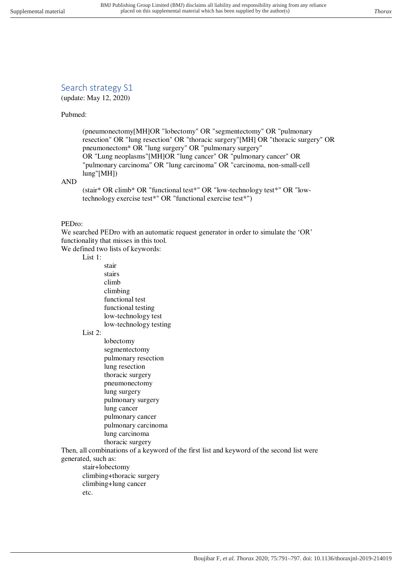# Search strategy S1

(update: May 12, 2020)

# Pubmed:

(pneumonectomy[MH]OR "lobectomy" OR "segmentectomy" OR "pulmonary resection" OR "lung resection" OR "thoracic surgery"[MH] OR "thoracic surgery" OR pneumonectom\* OR "lung surgery" OR "pulmonary surgery" OR "Lung neoplasms"[MH]OR "lung cancer" OR "pulmonary cancer" OR "pulmonary carcinoma" OR "lung carcinoma" OR "carcinoma, non-small-cell lung"[MH])

#### AND

(stair\* OR climb\* OR "functional test\*" OR "low-technology test\*" OR "lowtechnology exercise test\*" OR "functional exercise test\*")

## PEDro:

We searched PEDro with an automatic request generator in order to simulate the 'OR' functionality that misses in this tool.

We defined two lists of keywords:

List 1:

stair stairs climb climbing functional test functional testing low-technology test low-technology testing

# List  $2$ :

lobectomy segmentectomy pulmonary resection lung resection thoracic surgery pneumonectomy lung surgery pulmonary surgery lung cancer pulmonary cancer pulmonary carcinoma lung carcinoma thoracic surgery

Then, all combinations of a keyword of the first list and keyword of the second list were generated, such as:

stair+lobectomy climbing+thoracic surgery climbing+lung cancer etc.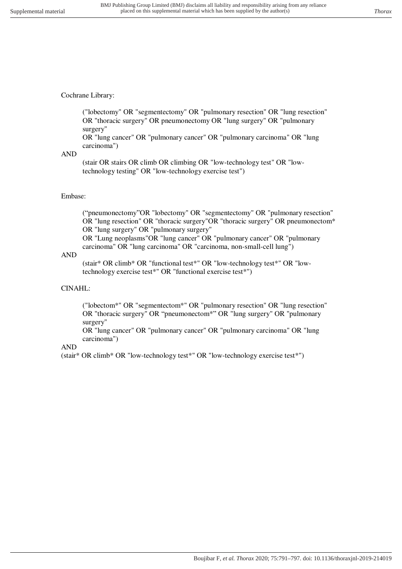Cochrane Library:

("lobectomy" OR "segmentectomy" OR "pulmonary resection" OR "lung resection" OR "thoracic surgery" OR pneumonectomy OR "lung surgery" OR "pulmonary surgery"

OR "lung cancer" OR "pulmonary cancer" OR "pulmonary carcinoma" OR "lung carcinoma")

#### AND

(stair OR stairs OR climb OR climbing OR "low-technology test" OR "lowtechnology testing" OR "low-technology exercise test")

# Embase:

("pneumonectomy"OR "lobectomy" OR "segmentectomy" OR "pulmonary resection" OR "lung resection" OR "thoracic surgery"OR "thoracic surgery" OR pneumonectom\* OR "lung surgery" OR "pulmonary surgery"

OR "Lung neoplasms"OR "lung cancer" OR "pulmonary cancer" OR "pulmonary carcinoma" OR "lung carcinoma" OR "carcinoma, non-small-cell lung")

# AND

(stair\* OR climb\* OR "functional test\*" OR "low-technology test\*" OR "lowtechnology exercise test\*" OR "functional exercise test\*")

# CINAHL:

("lobectom\*" OR "segmentectom\*" OR "pulmonary resection" OR "lung resection" OR "thoracic surgery" OR "pneumonectom\*" OR "lung surgery" OR "pulmonary surgery"

OR "lung cancer" OR "pulmonary cancer" OR "pulmonary carcinoma" OR "lung carcinoma")

## AND

(stair\* OR climb\* OR "low-technology test\*" OR "low-technology exercise test\*")